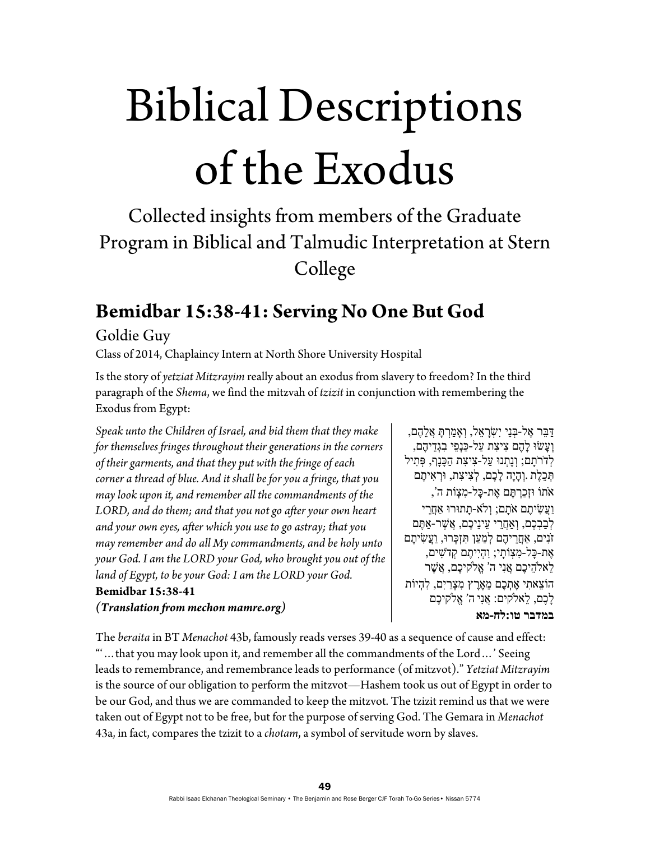# Biblical Descriptions of the Exodus

# Collected insights from members of the Graduate Program in Biblical and Talmudic Interpretation at Stern College

### **Bemidbar 15:38-41: Serving No One But God**

#### Goldie Guy

Class of 2014, Chaplaincy Intern at North Shore University Hospital

Is the story of *yetziat Mitzrayim* really about an exodus from slavery to freedom? In the third paragraph of the *Shema*, we find the mitzvah of *tzizit* in conjunction with remembering the Exodus from Egypt:

*Speak unto the Children of Israel, and bid them that they make for themselves fringes throughout their generations in the corners of their garments, and that they put with the fringe of each corner a thread of blue. And it shall be for you a fringe, that you may look upon it, and remember all the commandments of the LORD, and do them; and that you not go after your own heart and your own eyes, after which you use to go astray; that you may remember and do all My commandments, and be holy unto your God. I am the LORD your God, who brought you out of the land of Egypt, to be your God: I am the LORD your God.* **Bemidbar 15:38-41**  *(Translation from mechon mamre.org)* 

ַדִּבֵּר אֶל-בְּנֵי יִשְׂרָאֵל, וְאָמַרְתָּ אֲלֵהֶם, ְו ָעשׂוּ ָל ֶהם ִצ ִיצת ַעל- ַכּנְ ֵפי ִבגְ ֵד ֶ יהם, ְלְדֹרֹתָם; וְנָתְנוּ עַל-צִיצִת הַכָּנָף, פְּתִיל ְתִּכֵלֶת .וְהָיָה לָכֶם, לְצִיצִת, וּוְרָאִיתֶם אֹתוֹ וּזְ ַכ ְר ֶתּם ֶאת- ָכּל- ִמ ְצוֹת ה', ַוֲע ִשׂ ֶיתם אָֹתם; ְוֹלא- ָתתוּרוּ ֲאַחֵרי לְבַבְכֵם, וְאַחֲרִי עֵינֵיכֵם, אֲשֶׁר-אַתֵּם זֹנִים, אַחֲרֵיהֶם לְמַעַן תִּזְכְּרוּ, וַעֲשִׂיתֶם ֶאת- ָכּל- ִמ ְצוֹ ָתי; ִו ְהיִ ֶיתם ְקדֹ ִשׁים, ֵל ֵ אֹלה ֶיכם ֲאנִי ה' ֱא ֶ ֹלקיכם, ֲא ֶשׁר ֵ הוֹצ ִאתי ֶא ְת ֶכם ֵמ ֶאֶרץ ִמ ְצַריִם, ִל ְהיוֹת ָל ֶכם, ֵלאֹלקים: ֲאנִי ה' ֱא ֶ ֹלקיכם **במדבר טו:לח-מא**

The *beraita* in BT *Menachot* 43b, famously reads verses 39-40 as a sequence of cause and effect: "'…that you may look upon it, and remember all the commandments of the Lord…' Seeing leads to remembrance, and remembrance leads to performance (of mitzvot)." *Yetziat Mitzrayim* is the source of our obligation to perform the mitzvot—Hashem took us out of Egypt in order to be our God, and thus we are commanded to keep the mitzvot. The tzizit remind us that we were taken out of Egypt not to be free, but for the purpose of serving God. The Gemara in *Menachot* 43a, in fact, compares the tzizit to a *chotam*, a symbol of servitude worn by slaves.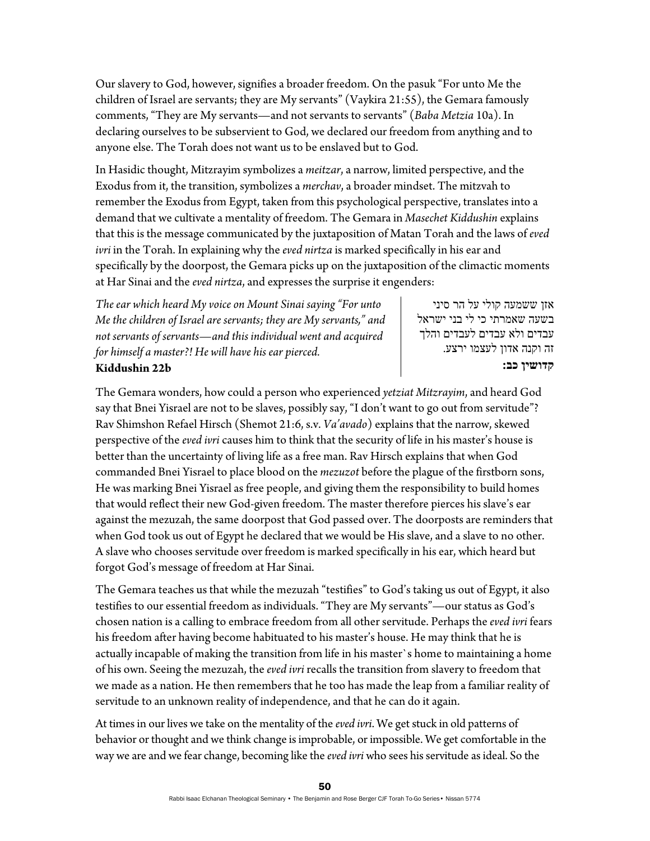Our slavery to God, however, signifies a broader freedom. On the pasuk "For unto Me the children of Israel are servants; they are My servants" (Vaykira 21:55), the Gemara famously comments, "They are My servants—and not servants to servants" (*Baba Metzia* 10a). In declaring ourselves to be subservient to God, we declared our freedom from anything and to anyone else. The Torah does not want us to be enslaved but to God.

In Hasidic thought, Mitzrayim symbolizes a *meitzar*, a narrow, limited perspective, and the Exodus from it, the transition, symbolizes a *merchav*, a broader mindset. The mitzvah to remember the Exodus from Egypt, taken from this psychological perspective, translates into a demand that we cultivate a mentality of freedom. The Gemara in *Masechet Kiddushin* explains that this is the message communicated by the juxtaposition of Matan Torah and the laws of *eved ivri* in the Torah. In explaining why the *eved nirtza* is marked specifically in his ear and specifically by the doorpost, the Gemara picks up on the juxtaposition of the climactic moments at Har Sinai and the *eved nirtza*, and expresses the surprise it engenders:

*The ear which heard My voice on Mount Sinai saying "For unto Me the children of Israel are servants; they are My servants," and not servants of servants—and this individual went and acquired for himself a master?! He will have his ear pierced.*  **Kiddushin 22b** 

אזן ששמעה קולי על הר סיני בשעה שאמרתי כי לי בני ישראל עבדים ולא עבדים לעבדים והלך זה וקנה אדון לעצמו ירצע. **קדושין כב:**

The Gemara wonders, how could a person who experienced *yetziat Mitzrayim*, and heard God say that Bnei Yisrael are not to be slaves, possibly say, "I don't want to go out from servitude"? Rav Shimshon Refael Hirsch (Shemot 21:6, s.v. *Va'avado*) explains that the narrow, skewed perspective of the *eved ivri* causes him to think that the security of life in his master's house is better than the uncertainty of living life as a free man. Rav Hirsch explains that when God commanded Bnei Yisrael to place blood on the *mezuzot* before the plague of the firstborn sons, He was marking Bnei Yisrael as free people, and giving them the responsibility to build homes that would reflect their new God-given freedom. The master therefore pierces his slave's ear against the mezuzah, the same doorpost that God passed over. The doorposts are reminders that when God took us out of Egypt he declared that we would be His slave, and a slave to no other. A slave who chooses servitude over freedom is marked specifically in his ear, which heard but forgot God's message of freedom at Har Sinai.

The Gemara teaches us that while the mezuzah "testifies" to God's taking us out of Egypt, it also testifies to our essential freedom as individuals. "They are My servants"—our status as God's chosen nation is a calling to embrace freedom from all other servitude. Perhaps the *eved ivri* fears his freedom after having become habituated to his master's house. He may think that he is actually incapable of making the transition from life in his master`s home to maintaining a home of his own. Seeing the mezuzah, the *eved ivri* recalls the transition from slavery to freedom that we made as a nation. He then remembers that he too has made the leap from a familiar reality of servitude to an unknown reality of independence, and that he can do it again.

At times in our lives we take on the mentality of the *eved ivri*. We get stuck in old patterns of behavior or thought and we think change is improbable, or impossible. We get comfortable in the way we are and we fear change, becoming like the *eved ivri* who sees his servitude as ideal. So the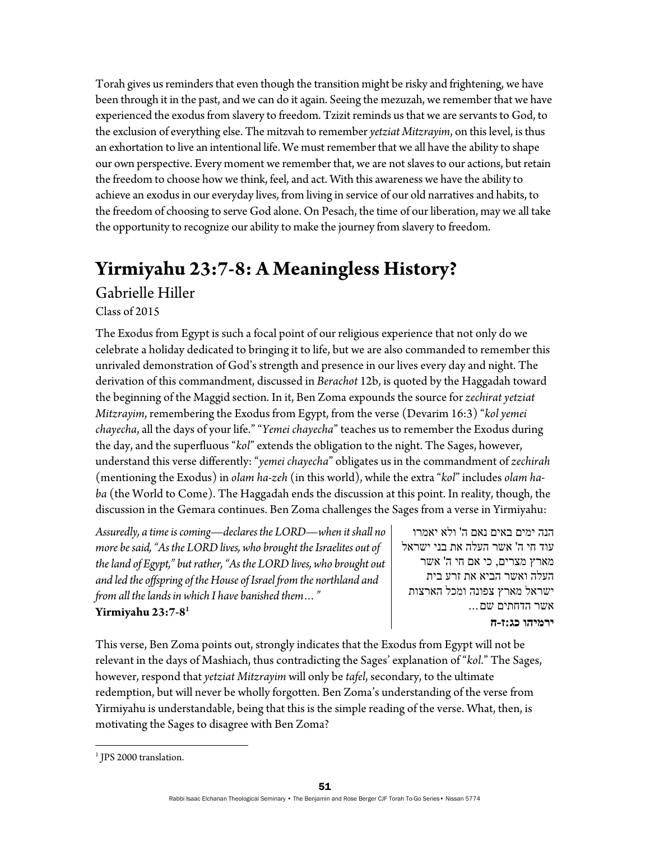Torah gives us reminders that even though the transition might be risky and frightening, we have been through it in the past, and we can do it again. Seeing the mezuzah, we remember that we have experienced the exodus from slavery to freedom. Tzizit reminds us that we are servants to God, to the exclusion of everything else. The mitzvah to remember *yetziat Mitzrayim*, on this level, is thus an exhortation to live an intentional life. We must remember that we all have the ability to shape our own perspective. Every moment we remember that, we are not slaves to our actions, but retain the freedom to choose how we think, feel, and act. With this awareness we have the ability to achieve an exodus in our everyday lives, from living in service of our old narratives and habits, to the freedom of choosing to serve God alone. On Pesach, the time of our liberation, may we all take the opportunity to recognize our ability to make the journey from slavery to freedom.

## **Yirmiyahu 23:7-8: A Meaningless History?**

#### Gabrielle Hiller

Class of 2015

The Exodus from Egypt is such a focal point of our religious experience that not only do we celebrate a holiday dedicated to bringing it to life, but we are also commanded to remember this unrivaled demonstration of God's strength and presence in our lives every day and night. The derivation of this commandment, discussed in *Berachot* 12b, is quoted by the Haggadah toward the beginning of the Maggid section. In it, Ben Zoma expounds the source for *zechirat yetziat Mitzrayim*, remembering the Exodus from Egypt, from the verse (Devarim 16:3) "*kol yemei chayecha*, all the days of your life." "*Yemei chayecha*" teaches us to remember the Exodus during the day, and the superfluous "*kol*" extends the obligation to the night. The Sages, however, understand this verse differently: "*yemei chayecha*" obligates us in the commandment of *zechirah* (mentioning the Exodus) in *olam ha-zeh* (in this world), while the extra "*kol*" includes *olam haba* (the World to Come). The Haggadah ends the discussion at this point. In reality, though, the discussion in the Gemara continues. Ben Zoma challenges the Sages from a verse in Yirmiyahu:

*Assuredly, a time is coming—declares the LORD—when it shall no more be said, "As the LORD lives, who brought the Israelites out of the land of Egypt," but rather, "As the LORD lives, who brought out and led the offspring of the House of Israel from the northland and from all the lands in which I have banished them…"*  **Yirmiyahu 23:7-81**

הנה ימים באים נאם ה' ולא יאמרו עוד חי ה' אשר העלה את בני ישראל מארץ מצרים, כי אם חי ה' אשר העלה ואשר הביא את זרע בית ישראל מארץ צפונה ומכל הארצות אשר הדחתים שם... **ירמיהו כג:ז-ח**

This verse, Ben Zoma points out, strongly indicates that the Exodus from Egypt will not be relevant in the days of Mashiach, thus contradicting the Sages' explanation of "*kol*." The Sages, however, respond that *yetziat Mitzrayim* will only be *tafel*, secondary, to the ultimate redemption, but will never be wholly forgotten. Ben Zoma's understanding of the verse from Yirmiyahu is understandable, being that this is the simple reading of the verse. What, then, is motivating the Sages to disagree with Ben Zoma?

<sup>&</sup>lt;sup>1</sup> JPS 2000 translation.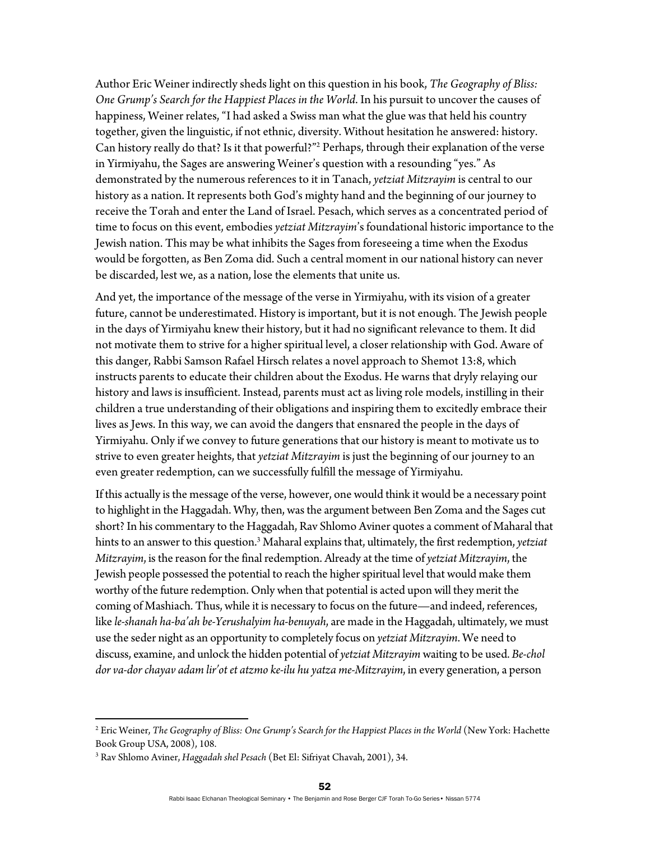Author Eric Weiner indirectly sheds light on this question in his book, *The Geography of Bliss: One Grump's Search for the Happiest Places in the World*. In his pursuit to uncover the causes of happiness, Weiner relates, "I had asked a Swiss man what the glue was that held his country together, given the linguistic, if not ethnic, diversity. Without hesitation he answered: history. Can history really do that? Is it that powerful?"2 Perhaps, through their explanation of the verse in Yirmiyahu, the Sages are answering Weiner's question with a resounding "yes." As demonstrated by the numerous references to it in Tanach, *yetziat Mitzrayim* is central to our history as a nation. It represents both God's mighty hand and the beginning of our journey to receive the Torah and enter the Land of Israel. Pesach, which serves as a concentrated period of time to focus on this event, embodies *yetziat Mitzrayim*'s foundational historic importance to the Jewish nation. This may be what inhibits the Sages from foreseeing a time when the Exodus would be forgotten, as Ben Zoma did. Such a central moment in our national history can never be discarded, lest we, as a nation, lose the elements that unite us.

And yet, the importance of the message of the verse in Yirmiyahu, with its vision of a greater future, cannot be underestimated. History is important, but it is not enough. The Jewish people in the days of Yirmiyahu knew their history, but it had no significant relevance to them. It did not motivate them to strive for a higher spiritual level, a closer relationship with God. Aware of this danger, Rabbi Samson Rafael Hirsch relates a novel approach to Shemot 13:8, which instructs parents to educate their children about the Exodus. He warns that dryly relaying our history and laws is insufficient. Instead, parents must act as living role models, instilling in their children a true understanding of their obligations and inspiring them to excitedly embrace their lives as Jews. In this way, we can avoid the dangers that ensnared the people in the days of Yirmiyahu. Only if we convey to future generations that our history is meant to motivate us to strive to even greater heights, that *yetziat Mitzrayim* is just the beginning of our journey to an even greater redemption, can we successfully fulfill the message of Yirmiyahu.

If this actually is the message of the verse, however, one would think it would be a necessary point to highlight in the Haggadah. Why, then, was the argument between Ben Zoma and the Sages cut short? In his commentary to the Haggadah, Rav Shlomo Aviner quotes a comment of Maharal that hints to an answer to this question.3 Maharal explains that, ultimately, the first redemption, *yetziat Mitzrayim*, is the reason for the final redemption. Already at the time of *yetziat Mitzrayim*, the Jewish people possessed the potential to reach the higher spiritual level that would make them worthy of the future redemption. Only when that potential is acted upon will they merit the coming of Mashiach. Thus, while it is necessary to focus on the future—and indeed, references, like *le-shanah ha-ba'ah be-Yerushalyim ha-benuyah*, are made in the Haggadah, ultimately, we must use the seder night as an opportunity to completely focus on *yetziat Mitzrayim*. We need to discuss, examine, and unlock the hidden potential of *yetziat Mitzrayim* waiting to be used. *Be-chol dor va-dor chayav adam lir'ot et atzmo ke-ilu hu yatza me-Mitzrayim*, in every generation, a person

<sup>2</sup> Eric Weiner, *The Geography of Bliss: One Grump's Search for the Happiest Places in the World* (New York: Hachette Book Group USA, 2008), 108.

<sup>3</sup> Rav Shlomo Aviner, *Haggadah shel Pesach* (Bet El: Sifriyat Chavah, 2001), 34.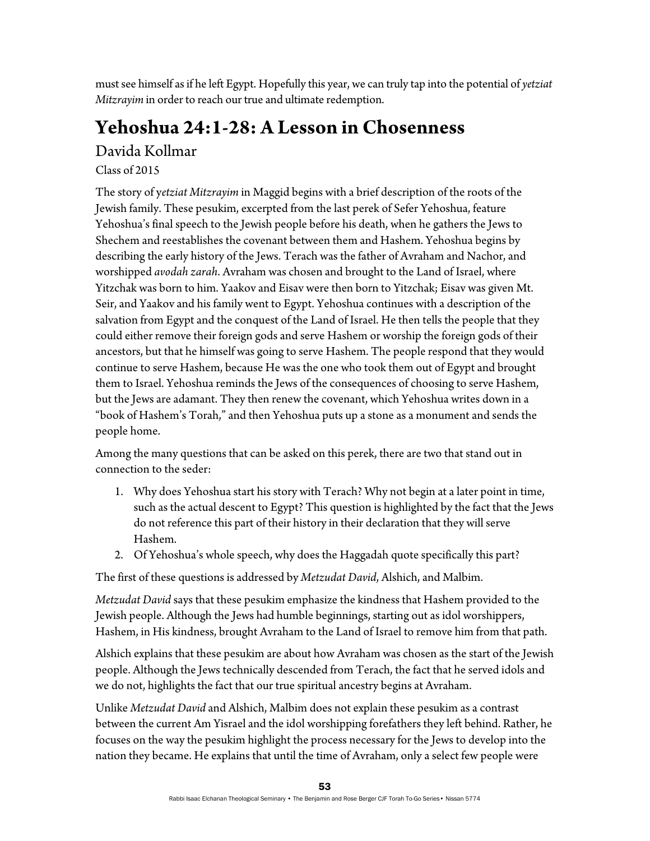must see himself as if he left Egypt. Hopefully this year, we can truly tap into the potential of *yetziat Mitzrayim* in order to reach our true and ultimate redemption.

## **Yehoshua 24:1-28: A Lesson in Chosenness**

Davida Kollmar

Class of 2015

The story of y*etziat Mitzrayim* in Maggid begins with a brief description of the roots of the Jewish family. These pesukim, excerpted from the last perek of Sefer Yehoshua, feature Yehoshua's final speech to the Jewish people before his death, when he gathers the Jews to Shechem and reestablishes the covenant between them and Hashem. Yehoshua begins by describing the early history of the Jews. Terach was the father of Avraham and Nachor, and worshipped *avodah zarah*. Avraham was chosen and brought to the Land of Israel, where Yitzchak was born to him. Yaakov and Eisav were then born to Yitzchak; Eisav was given Mt. Seir, and Yaakov and his family went to Egypt. Yehoshua continues with a description of the salvation from Egypt and the conquest of the Land of Israel. He then tells the people that they could either remove their foreign gods and serve Hashem or worship the foreign gods of their ancestors, but that he himself was going to serve Hashem. The people respond that they would continue to serve Hashem, because He was the one who took them out of Egypt and brought them to Israel. Yehoshua reminds the Jews of the consequences of choosing to serve Hashem, but the Jews are adamant. They then renew the covenant, which Yehoshua writes down in a "book of Hashem's Torah," and then Yehoshua puts up a stone as a monument and sends the people home.

Among the many questions that can be asked on this perek, there are two that stand out in connection to the seder:

- 1. Why does Yehoshua start his story with Terach? Why not begin at a later point in time, such as the actual descent to Egypt? This question is highlighted by the fact that the Jews do not reference this part of their history in their declaration that they will serve Hashem.
- 2. Of Yehoshua's whole speech, why does the Haggadah quote specifically this part?

The first of these questions is addressed by *Metzudat David*, Alshich, and Malbim.

*Metzudat David* says that these pesukim emphasize the kindness that Hashem provided to the Jewish people. Although the Jews had humble beginnings, starting out as idol worshippers, Hashem, in His kindness, brought Avraham to the Land of Israel to remove him from that path.

Alshich explains that these pesukim are about how Avraham was chosen as the start of the Jewish people. Although the Jews technically descended from Terach, the fact that he served idols and we do not, highlights the fact that our true spiritual ancestry begins at Avraham.

Unlike *Metzudat David* and Alshich, Malbim does not explain these pesukim as a contrast between the current Am Yisrael and the idol worshipping forefathers they left behind. Rather, he focuses on the way the pesukim highlight the process necessary for the Jews to develop into the nation they became. He explains that until the time of Avraham, only a select few people were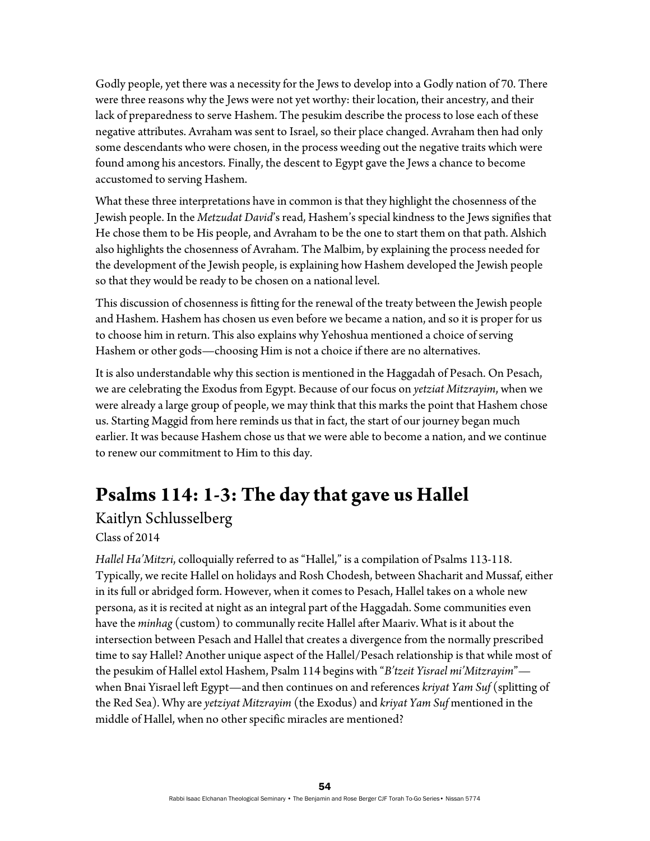Godly people, yet there was a necessity for the Jews to develop into a Godly nation of 70. There were three reasons why the Jews were not yet worthy: their location, their ancestry, and their lack of preparedness to serve Hashem. The pesukim describe the process to lose each of these negative attributes. Avraham was sent to Israel, so their place changed. Avraham then had only some descendants who were chosen, in the process weeding out the negative traits which were found among his ancestors. Finally, the descent to Egypt gave the Jews a chance to become accustomed to serving Hashem.

What these three interpretations have in common is that they highlight the chosenness of the Jewish people. In the *Metzudat David*'s read, Hashem's special kindness to the Jews signifies that He chose them to be His people, and Avraham to be the one to start them on that path. Alshich also highlights the chosenness of Avraham. The Malbim, by explaining the process needed for the development of the Jewish people, is explaining how Hashem developed the Jewish people so that they would be ready to be chosen on a national level.

This discussion of chosenness is fitting for the renewal of the treaty between the Jewish people and Hashem. Hashem has chosen us even before we became a nation, and so it is proper for us to choose him in return. This also explains why Yehoshua mentioned a choice of serving Hashem or other gods—choosing Him is not a choice if there are no alternatives.

It is also understandable why this section is mentioned in the Haggadah of Pesach. On Pesach, we are celebrating the Exodus from Egypt. Because of our focus on *yetziat Mitzrayim*, when we were already a large group of people, we may think that this marks the point that Hashem chose us. Starting Maggid from here reminds us that in fact, the start of our journey began much earlier. It was because Hashem chose us that we were able to become a nation, and we continue to renew our commitment to Him to this day.

## **Psalms 114: 1-3: The day that gave us Hallel**

#### Kaitlyn Schlusselberg Class of 2014

*Hallel Ha'Mitzri*, colloquially referred to as "Hallel," is a compilation of Psalms 113-118. Typically, we recite Hallel on holidays and Rosh Chodesh, between Shacharit and Mussaf, either in its full or abridged form. However, when it comes to Pesach, Hallel takes on a whole new persona, as it is recited at night as an integral part of the Haggadah. Some communities even have the *minhag* (custom) to communally recite Hallel after Maariv. What is it about the intersection between Pesach and Hallel that creates a divergence from the normally prescribed time to say Hallel? Another unique aspect of the Hallel/Pesach relationship is that while most of the pesukim of Hallel extol Hashem, Psalm 114 begins with "*B'tzeit Yisrael mi'Mitzrayim*" when Bnai Yisrael left Egypt—and then continues on and references *kriyat Yam Suf* (splitting of the Red Sea). Why are *yetziyat Mitzrayim* (the Exodus) and *kriyat Yam Suf* mentioned in the middle of Hallel, when no other specific miracles are mentioned?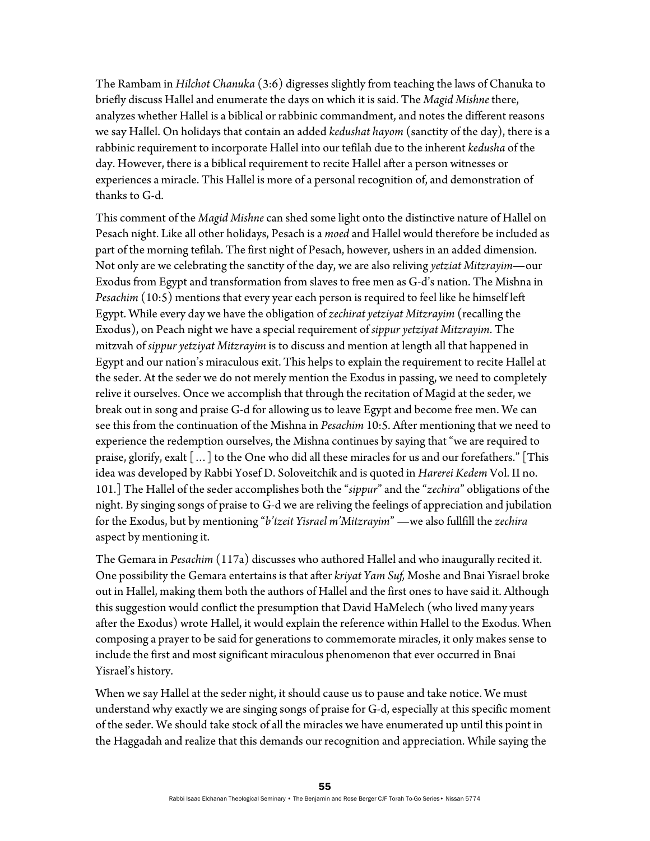The Rambam in *Hilchot Chanuka* (3:6) digresses slightly from teaching the laws of Chanuka to briefly discuss Hallel and enumerate the days on which it is said. The *Magid Mishne* there, analyzes whether Hallel is a biblical or rabbinic commandment, and notes the different reasons we say Hallel. On holidays that contain an added *kedushat hayom* (sanctity of the day), there is a rabbinic requirement to incorporate Hallel into our tefilah due to the inherent *kedusha* of the day. However, there is a biblical requirement to recite Hallel after a person witnesses or experiences a miracle. This Hallel is more of a personal recognition of, and demonstration of thanks to G-d.

This comment of the *Magid Mishne* can shed some light onto the distinctive nature of Hallel on Pesach night. Like all other holidays, Pesach is a *moed* and Hallel would therefore be included as part of the morning tefilah. The first night of Pesach, however, ushers in an added dimension. Not only are we celebrating the sanctity of the day, we are also reliving *yetziat Mitzrayim—*our Exodus from Egypt and transformation from slaves to free men as G-d's nation. The Mishna in *Pesachim* (10:5) mentions that every year each person is required to feel like he himself left Egypt. While every day we have the obligation of *zechirat yetziyat Mitzrayim* (recalling the Exodus), on Peach night we have a special requirement of *sippur yetziyat Mitzrayim*. The mitzvah of *sippur yetziyat Mitzrayim* is to discuss and mention at length all that happened in Egypt and our nation's miraculous exit. This helps to explain the requirement to recite Hallel at the seder. At the seder we do not merely mention the Exodus in passing, we need to completely relive it ourselves. Once we accomplish that through the recitation of Magid at the seder, we break out in song and praise G-d for allowing us to leave Egypt and become free men. We can see this from the continuation of the Mishna in *Pesachim* 10:5. After mentioning that we need to experience the redemption ourselves, the Mishna continues by saying that "we are required to praise, glorify, exalt […] to the One who did all these miracles for us and our forefathers." [This idea was developed by Rabbi Yosef D. Soloveitchik and is quoted in *Harerei Kedem* Vol. II no. 101.] The Hallel of the seder accomplishes both the "*sippur*" and the "*zechira*" obligations of the night. By singing songs of praise to G-d we are reliving the feelings of appreciation and jubilation for the Exodus, but by mentioning "*b'tzeit Yisrael m'Mitzrayim*" —we also fullfill the *zechira* aspect by mentioning it.

The Gemara in *Pesachim* (117a) discusses who authored Hallel and who inaugurally recited it. One possibility the Gemara entertains is that after *kriyat Yam Suf,* Moshe and Bnai Yisrael broke out in Hallel, making them both the authors of Hallel and the first ones to have said it. Although this suggestion would conflict the presumption that David HaMelech (who lived many years after the Exodus) wrote Hallel, it would explain the reference within Hallel to the Exodus. When composing a prayer to be said for generations to commemorate miracles, it only makes sense to include the first and most significant miraculous phenomenon that ever occurred in Bnai Yisrael's history.

When we say Hallel at the seder night, it should cause us to pause and take notice. We must understand why exactly we are singing songs of praise for G-d, especially at this specific moment of the seder. We should take stock of all the miracles we have enumerated up until this point in the Haggadah and realize that this demands our recognition and appreciation. While saying the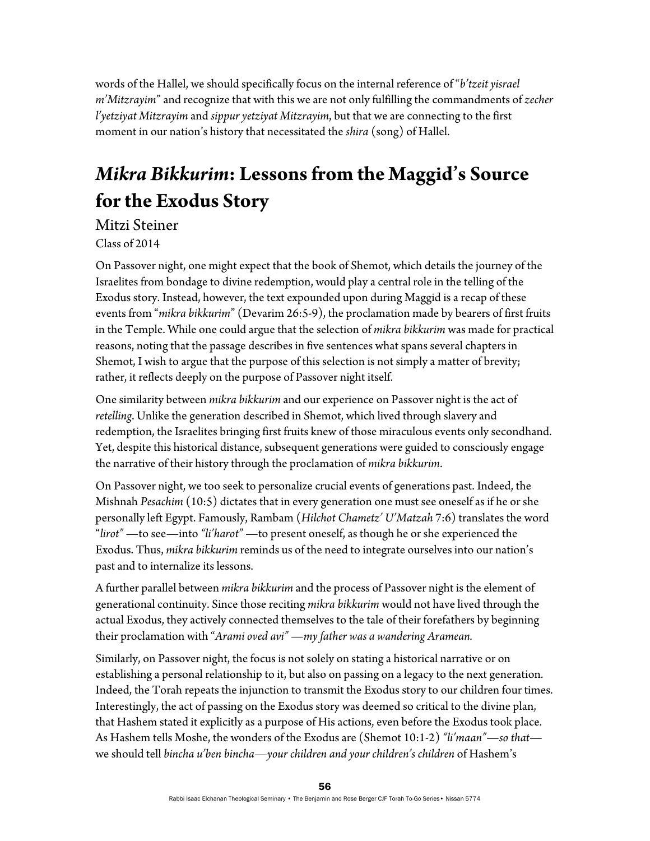words of the Hallel, we should specifically focus on the internal reference of "*b'tzeit yisrael m'Mitzrayim*" and recognize that with this we are not only fulfilling the commandments of *zecher l'yetziyat Mitzrayim* and *sippur yetziyat Mitzrayim*, but that we are connecting to the first moment in our nation's history that necessitated the *shira* (song) of Hallel.

# *Mikra Bikkurim***: Lessons from the Maggid's Source for the Exodus Story**

Mitzi Steiner Class of 2014

On Passover night, one might expect that the book of Shemot, which details the journey of the Israelites from bondage to divine redemption, would play a central role in the telling of the Exodus story. Instead, however, the text expounded upon during Maggid is a recap of these events from "*mikra bikkurim*" (Devarim 26:5-9), the proclamation made by bearers of first fruits in the Temple. While one could argue that the selection of *mikra bikkurim* was made for practical reasons, noting that the passage describes in five sentences what spans several chapters in Shemot, I wish to argue that the purpose of this selection is not simply a matter of brevity; rather, it reflects deeply on the purpose of Passover night itself.

One similarity between *mikra bikkurim* and our experience on Passover night is the act of *retelling*. Unlike the generation described in Shemot, which lived through slavery and redemption, the Israelites bringing first fruits knew of those miraculous events only secondhand. Yet, despite this historical distance, subsequent generations were guided to consciously engage the narrative of their history through the proclamation of *mikra bikkurim*.

On Passover night, we too seek to personalize crucial events of generations past. Indeed, the Mishnah *Pesachim* (10:5) dictates that in every generation one must see oneself as if he or she personally left Egypt. Famously, Rambam (*Hilchot Chametz' U'Matzah* 7:6) translates the word "*lirot"* —to see—into *"li'harot"* —to present oneself, as though he or she experienced the Exodus. Thus, *mikra bikkurim* reminds us of the need to integrate ourselves into our nation's past and to internalize its lessons.

A further parallel between *mikra bikkurim* and the process of Passover night is the element of generational continuity. Since those reciting *mikra bikkurim* would not have lived through the actual Exodus, they actively connected themselves to the tale of their forefathers by beginning their proclamation with "*Arami oved avi"* —*my father was a wandering Aramean.* 

Similarly, on Passover night, the focus is not solely on stating a historical narrative or on establishing a personal relationship to it, but also on passing on a legacy to the next generation. Indeed, the Torah repeats the injunction to transmit the Exodus story to our children four times. Interestingly, the act of passing on the Exodus story was deemed so critical to the divine plan, that Hashem stated it explicitly as a purpose of His actions, even before the Exodus took place. As Hashem tells Moshe, the wonders of the Exodus are (Shemot 10:1-2) *"li'maan"*—*so that* we should tell *bincha u'ben bincha*—*your children and your children's children* of Hashem's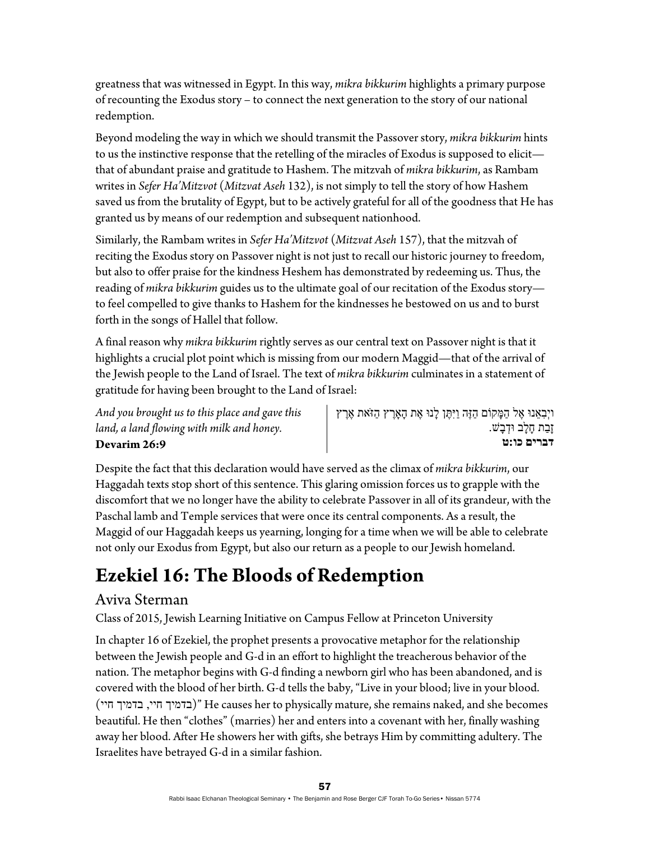greatness that was witnessed in Egypt. In this way, *mikra bikkurim* highlights a primary purpose of recounting the Exodus story – to connect the next generation to the story of our national redemption.

Beyond modeling the way in which we should transmit the Passover story, *mikra bikkurim* hints to us the instinctive response that the retelling of the miracles of Exodus is supposed to elicit that of abundant praise and gratitude to Hashem. The mitzvah of *mikra bikkurim*, as Rambam writes in *Sefer Ha'Mitzvot* (*Mitzvat Aseh* 132), is not simply to tell the story of how Hashem saved us from the brutality of Egypt, but to be actively grateful for all of the goodness that He has granted us by means of our redemption and subsequent nationhood.

Similarly, the Rambam writes in *Sefer Ha'Mitzvot* (*Mitzvat Aseh* 157), that the mitzvah of reciting the Exodus story on Passover night is not just to recall our historic journey to freedom, but also to offer praise for the kindness Heshem has demonstrated by redeeming us. Thus, the reading of *mikra bikkurim* guides us to the ultimate goal of our recitation of the Exodus story to feel compelled to give thanks to Hashem for the kindnesses he bestowed on us and to burst forth in the songs of Hallel that follow.

A final reason why *mikra bikkurim* rightly serves as our central text on Passover night is that it highlights a crucial plot point which is missing from our modern Maggid—that of the arrival of the Jewish people to the Land of Israel. The text of *mikra bikkurim* culminates in a statement of gratitude for having been brought to the Land of Israel:

*And you brought us to this place and gave this land, a land flowing with milk and honey.*  **Devarim 26:9** 

ויְבְאֵנוּ אֶל הַמָּקוֹם הַזֶּה וַיִּתָּן לְנוּ אֶת הָאָרֶץ הַזֹּאת אֶרֶץ זַבַת חָלַב וּדְבַשׁ. **דברים כו:ט**

Despite the fact that this declaration would have served as the climax of *mikra bikkurim*, our Haggadah texts stop short of this sentence. This glaring omission forces us to grapple with the discomfort that we no longer have the ability to celebrate Passover in all of its grandeur, with the Paschal lamb and Temple services that were once its central components. As a result, the Maggid of our Haggadah keeps us yearning, longing for a time when we will be able to celebrate not only our Exodus from Egypt, but also our return as a people to our Jewish homeland.

# **Ezekiel 16: The Bloods of Redemption**

#### Aviva Sterman

Class of 2015, Jewish Learning Initiative on Campus Fellow at Princeton University

In chapter 16 of Ezekiel, the prophet presents a provocative metaphor for the relationship between the Jewish people and G-d in an effort to highlight the treacherous behavior of the nation. The metaphor begins with G-d finding a newborn girl who has been abandoned, and is covered with the blood of her birth. G-d tells the baby, "Live in your blood; live in your blood. (בדמיך היי, בדמיך היי)" He causes her to physically mature, she remains naked, and she becomes beautiful. He then "clothes" (marries) her and enters into a covenant with her, finally washing away her blood. After He showers her with gifts, she betrays Him by committing adultery. The Israelites have betrayed G-d in a similar fashion.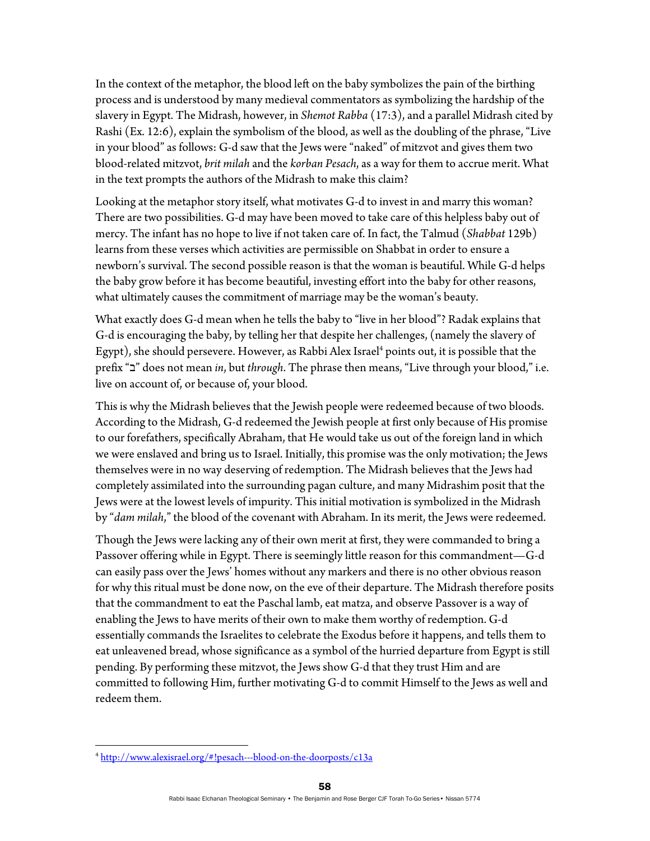In the context of the metaphor, the blood left on the baby symbolizes the pain of the birthing process and is understood by many medieval commentators as symbolizing the hardship of the slavery in Egypt. The Midrash, however, in *Shemot Rabba* (17:3), and a parallel Midrash cited by Rashi (Ex. 12:6), explain the symbolism of the blood, as well as the doubling of the phrase, "Live in your blood" as follows: G-d saw that the Jews were "naked" of mitzvot and gives them two blood-related mitzvot, *brit milah* and the *korban Pesach*, as a way for them to accrue merit. What in the text prompts the authors of the Midrash to make this claim?

Looking at the metaphor story itself, what motivates G-d to invest in and marry this woman? There are two possibilities. G-d may have been moved to take care of this helpless baby out of mercy. The infant has no hope to live if not taken care of. In fact, the Talmud (*Shabbat* 129b) learns from these verses which activities are permissible on Shabbat in order to ensure a newborn's survival. The second possible reason is that the woman is beautiful. While G-d helps the baby grow before it has become beautiful, investing effort into the baby for other reasons, what ultimately causes the commitment of marriage may be the woman's beauty.

What exactly does G-d mean when he tells the baby to "live in her blood"? Radak explains that G-d is encouraging the baby, by telling her that despite her challenges, (namely the slavery of Egypt), she should persevere. However, as Rabbi Alex Israel<sup>4</sup> points out, it is possible that the prefix "ב "does not mean *in*, but *through*. The phrase then means, "Live through your blood," i.e. live on account of, or because of, your blood.

This is why the Midrash believes that the Jewish people were redeemed because of two bloods. According to the Midrash, G-d redeemed the Jewish people at first only because of His promise to our forefathers, specifically Abraham, that He would take us out of the foreign land in which we were enslaved and bring us to Israel. Initially, this promise was the only motivation; the Jews themselves were in no way deserving of redemption. The Midrash believes that the Jews had completely assimilated into the surrounding pagan culture, and many Midrashim posit that the Jews were at the lowest levels of impurity. This initial motivation is symbolized in the Midrash by "*dam milah*," the blood of the covenant with Abraham. In its merit, the Jews were redeemed.

Though the Jews were lacking any of their own merit at first, they were commanded to bring a Passover offering while in Egypt. There is seemingly little reason for this commandment—G-d can easily pass over the Jews' homes without any markers and there is no other obvious reason for why this ritual must be done now, on the eve of their departure. The Midrash therefore posits that the commandment to eat the Paschal lamb, eat matza, and observe Passover is a way of enabling the Jews to have merits of their own to make them worthy of redemption. G-d essentially commands the Israelites to celebrate the Exodus before it happens, and tells them to eat unleavened bread, whose significance as a symbol of the hurried departure from Egypt is still pending. By performing these mitzvot, the Jews show G-d that they trust Him and are committed to following Him, further motivating G-d to commit Himself to the Jews as well and redeem them.

<sup>4</sup> http://www.alexisrael.org/#!pesach---blood-on-the-doorposts/c13a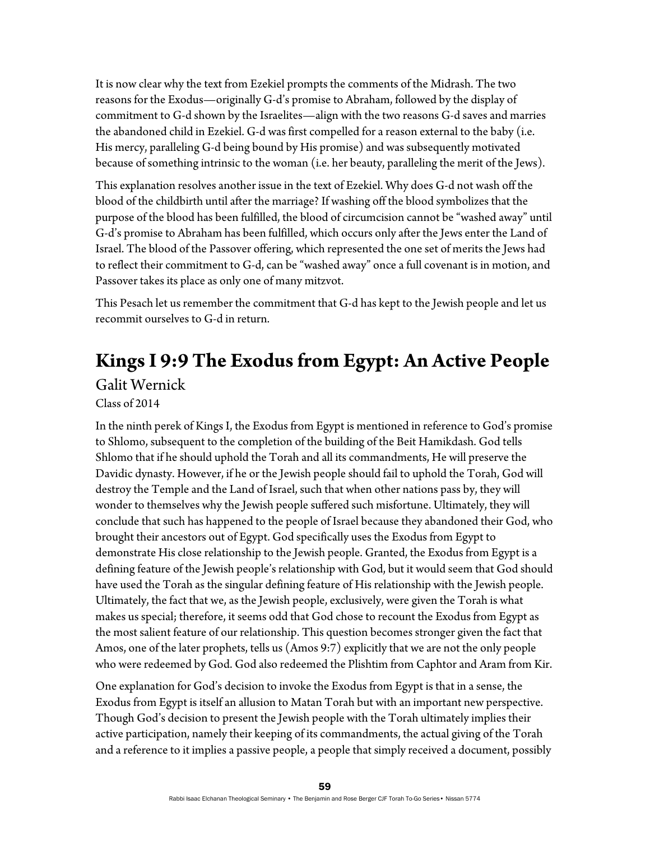It is now clear why the text from Ezekiel prompts the comments of the Midrash. The two reasons for the Exodus—originally G-d's promise to Abraham, followed by the display of commitment to G-d shown by the Israelites—align with the two reasons G-d saves and marries the abandoned child in Ezekiel. G-d was first compelled for a reason external to the baby (i.e. His mercy, paralleling G-d being bound by His promise) and was subsequently motivated because of something intrinsic to the woman (i.e. her beauty, paralleling the merit of the Jews).

This explanation resolves another issue in the text of Ezekiel. Why does G-d not wash off the blood of the childbirth until after the marriage? If washing off the blood symbolizes that the purpose of the blood has been fulfilled, the blood of circumcision cannot be "washed away" until G-d's promise to Abraham has been fulfilled, which occurs only after the Jews enter the Land of Israel. The blood of the Passover offering, which represented the one set of merits the Jews had to reflect their commitment to G-d, can be "washed away" once a full covenant is in motion, and Passover takes its place as only one of many mitzvot.

This Pesach let us remember the commitment that G-d has kept to the Jewish people and let us recommit ourselves to G-d in return.

## **Kings I 9:9 The Exodus from Egypt: An Active People**  Galit Wernick

Class of 2014

In the ninth perek of Kings I, the Exodus from Egypt is mentioned in reference to God's promise to Shlomo, subsequent to the completion of the building of the Beit Hamikdash. God tells Shlomo that if he should uphold the Torah and all its commandments, He will preserve the Davidic dynasty. However, if he or the Jewish people should fail to uphold the Torah, God will destroy the Temple and the Land of Israel, such that when other nations pass by, they will wonder to themselves why the Jewish people suffered such misfortune. Ultimately, they will conclude that such has happened to the people of Israel because they abandoned their God, who brought their ancestors out of Egypt. God specifically uses the Exodus from Egypt to demonstrate His close relationship to the Jewish people. Granted, the Exodus from Egypt is a defining feature of the Jewish people's relationship with God, but it would seem that God should have used the Torah as the singular defining feature of His relationship with the Jewish people. Ultimately, the fact that we, as the Jewish people, exclusively, were given the Torah is what makes us special; therefore, it seems odd that God chose to recount the Exodus from Egypt as the most salient feature of our relationship. This question becomes stronger given the fact that Amos, one of the later prophets, tells us (Amos 9:7) explicitly that we are not the only people who were redeemed by God. God also redeemed the Plishtim from Caphtor and Aram from Kir.

One explanation for God's decision to invoke the Exodus from Egypt is that in a sense, the Exodus from Egypt is itself an allusion to Matan Torah but with an important new perspective. Though God's decision to present the Jewish people with the Torah ultimately implies their active participation, namely their keeping of its commandments, the actual giving of the Torah and a reference to it implies a passive people, a people that simply received a document, possibly